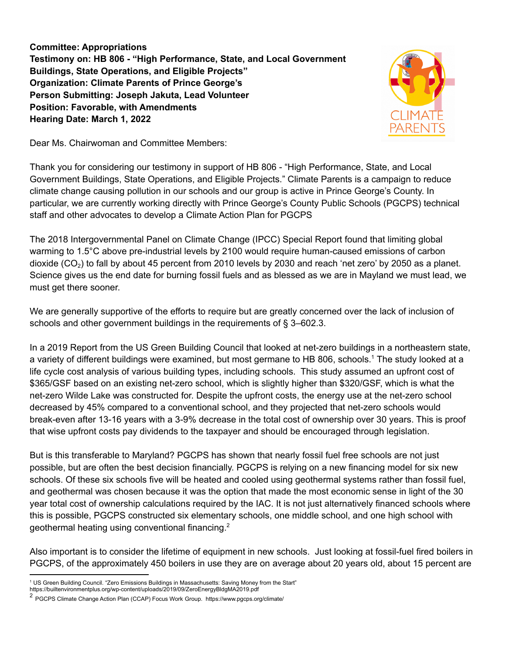**Committee: Appropriations Testimony on: HB 806 - "High Performance, State, and Local Government Buildings, State Operations, and Eligible Projects" Organization: Climate Parents of Prince George's Person Submitting: Joseph Jakuta, Lead Volunteer Position: Favorable, with Amendments Hearing Date: March 1, 2022**



Dear Ms. Chairwoman and Committee Members:

Thank you for considering our testimony in support of HB 806 - "High Performance, State, and Local Government Buildings, State Operations, and Eligible Projects." Climate Parents is a campaign to reduce climate change causing pollution in our schools and our group is active in Prince George's County. In particular, we are currently working directly with Prince George's County Public Schools (PGCPS) technical staff and other advocates to develop a Climate Action Plan for PGCPS

The 2018 Intergovernmental Panel on Climate Change (IPCC) Special Report found that limiting global warming to 1.5°C above pre-industrial levels by 2100 would require human-caused emissions of carbon dioxide (CO<sub>2</sub>) to fall by about 45 percent from 2010 levels by 2030 and reach 'net zero' by 2050 as a planet. Science gives us the end date for burning fossil fuels and as blessed as we are in Mayland we must lead, we must get there sooner.

We are generally supportive of the efforts to require but are greatly concerned over the lack of inclusion of schools and other government buildings in the requirements of § 3–602.3.

In a 2019 Report from the US Green Building Council that looked at net-zero buildings in a northeastern state, a variety of different buildings were examined, but most germane to HB 806, schools. <sup>1</sup> The study looked at a life cycle cost analysis of various building types, including schools. This study assumed an upfront cost of \$365/GSF based on an existing net-zero school, which is slightly higher than \$320/GSF, which is what the net-zero Wilde Lake was constructed for. Despite the upfront costs, the energy use at the net-zero school decreased by 45% compared to a conventional school, and they projected that net-zero schools would break-even after 13-16 years with a 3-9% decrease in the total cost of ownership over 30 years. This is proof that wise upfront costs pay dividends to the taxpayer and should be encouraged through legislation.

But is this transferable to Maryland? PGCPS has shown that nearly fossil fuel free schools are not just possible, but are often the best decision financially. PGCPS is relying on a new financing model for six new schools. Of these six schools five will be heated and cooled using geothermal systems rather than fossil fuel, and geothermal was chosen because it was the option that made the most economic sense in light of the 30 year total cost of ownership calculations required by the IAC. It is not just alternatively financed schools where this is possible, PGCPS constructed six elementary schools, one middle school, and one high school with geothermal heating using conventional financing.<sup>2</sup>

Also important is to consider the lifetime of equipment in new schools. Just looking at fossil-fuel fired boilers in PGCPS, of the approximately 450 boilers in use they are on average about 20 years old, about 15 percent are

<sup>1</sup> US Green Building Council. "Zero Emissions Buildings in Massachusetts: Saving Money from the Start"

https://builtenvironmentplus.org/wp-content/uploads/2019/09/ZeroEnergyBldgMA2019.pdf

<sup>&</sup>lt;sup>2</sup> PGCPS Climate Change Action Plan (CCAP) Focus Work Group. https://www.pgcps.org/climate/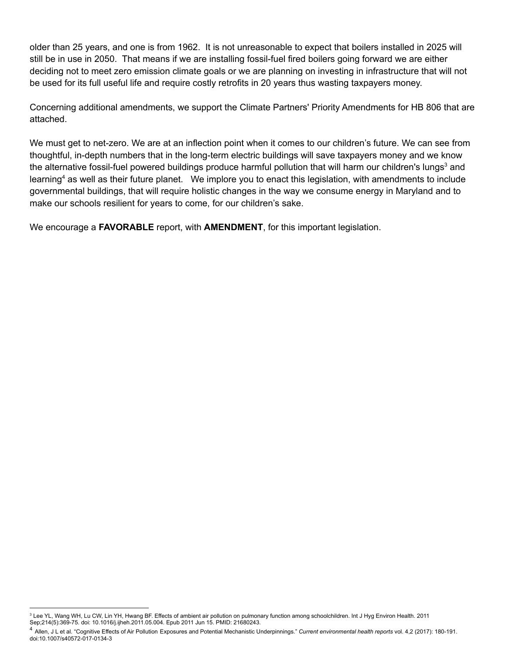older than 25 years, and one is from 1962. It is not unreasonable to expect that boilers installed in 2025 will still be in use in 2050. That means if we are installing fossil-fuel fired boilers going forward we are either deciding not to meet zero emission climate goals or we are planning on investing in infrastructure that will not be used for its full useful life and require costly retrofits in 20 years thus wasting taxpayers money.

Concerning additional amendments, we support the Climate Partners' Priority Amendments for HB 806 that are attached.

We must get to net-zero. We are at an inflection point when it comes to our children's future. We can see from thoughtful, in-depth numbers that in the long-term electric buildings will save taxpayers money and we know the alternative fossil-fuel powered buildings produce harmful pollution that will harm our children's lungs<sup>3</sup> and learning<sup>4</sup> as well as their future planet. We implore you to enact this legislation, with amendments to include governmental buildings, that will require holistic changes in the way we consume energy in Maryland and to make our schools resilient for years to come, for our children's sake.

We encourage a **FAVORABLE** report, with **AMENDMENT**, for this important legislation.

<sup>&</sup>lt;sup>3</sup> Lee YL, Wang WH, Lu CW, Lin YH, Hwang BF. Effects of ambient air pollution on pulmonary function among schoolchildren. Int J Hyg Environ Health. 2011 Sep;214(5):369-75. doi: 10.1016/j.ijheh.2011.05.004. Epub 2011 Jun 15. PMID: 21680243.

<sup>4</sup> Allen, J L et al. "Cognitive Effects of Air Pollution Exposures and Potential Mechanistic Underpinnings." *Current environmental health reports* vol. 4,2 (2017): 180-191. doi:10.1007/s40572-017-0134-3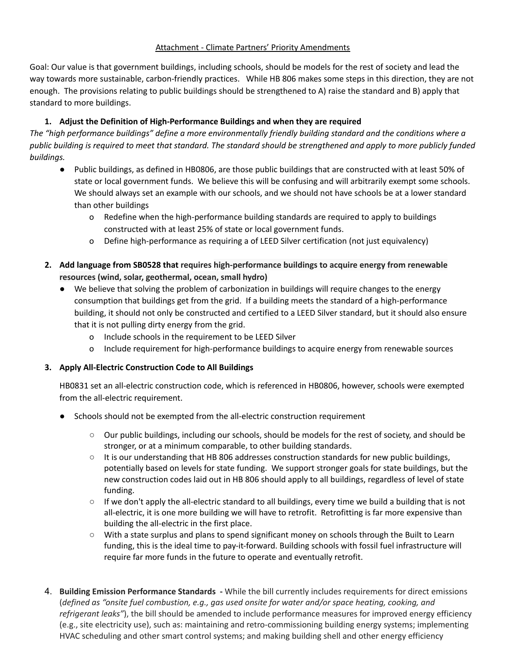## Attachment - Climate Partners' Priority Amendments

Goal: Our value is that government buildings, including schools, should be models for the rest of society and lead the way towards more sustainable, carbon-friendly practices. While HB 806 makes some steps in this direction, they are not enough. The provisions relating to public buildings should be strengthened to A) raise the standard and B) apply that standard to more buildings.

# **1. Adjust the Definition of High-Performance Buildings and when they are required**

The "high performance buildings" define a more environmentally friendly building standard and the conditions where a public building is required to meet that standard. The standard should be strengthened and apply to more publicly funded *buildings.*

- Public buildings, as defined in HB0806, are those public buildings that are constructed with at least 50% of state or local government funds. We believe this will be confusing and will arbitrarily exempt some schools. We should always set an example with our schools, and we should not have schools be at a lower standard than other buildings
	- o Redefine when the high-performance building standards are required to apply to buildings constructed with at least 25% of state or local government funds.
	- o Define high-performance as requiring a of LEED Silver certification (not just equivalency)
- **2. Add language from SB0528 that requires high-performance buildings to acquire energy from renewable resources (wind, solar, geothermal, ocean, small hydro)**
	- We believe that solving the problem of carbonization in buildings will require changes to the energy consumption that buildings get from the grid. If a building meets the standard of a high-performance building, it should not only be constructed and certified to a LEED Silver standard, but it should also ensure that it is not pulling dirty energy from the grid.
		- o Include schools in the requirement to be LEED Silver
		- o Include requirement for high-performance buildings to acquire energy from renewable sources

## **3. Apply All-Electric Construction Code to All Buildings**

HB0831 set an all-electric construction code, which is referenced in HB0806, however, schools were exempted from the all-electric requirement.

- Schools should not be exempted from the all-electric construction requirement
	- Our public buildings, including our schools, should be models for the rest of society, and should be stronger, or at a minimum comparable, to other building standards.
	- It is our understanding that HB 806 addresses construction standards for new public buildings, potentially based on levels for state funding. We support stronger goals for state buildings, but the new construction codes laid out in HB 806 should apply to all buildings, regardless of level of state funding.
	- If we don't apply the all-electric standard to all buildings, every time we build a building that is not all-electric, it is one more building we will have to retrofit. Retrofitting is far more expensive than building the all-electric in the first place.
	- With a state surplus and plans to spend significant money on schools through the Built to Learn funding, this is the ideal time to pay-it-forward. Building schools with fossil fuel infrastructure will require far more funds in the future to operate and eventually retrofit.
- 4. **Building Emission Performance Standards -** While the bill currently includes requirements for direct emissions (*defined as "onsite fuel combustion, e.g., gas used onsite for water and/or space heating, cooking, and refrigerant leaks"*), the bill should be amended to include performance measures for improved energy efficiency (e.g., site electricity use), such as: maintaining and retro-commissioning building energy systems; implementing HVAC scheduling and other smart control systems; and making building shell and other energy efficiency